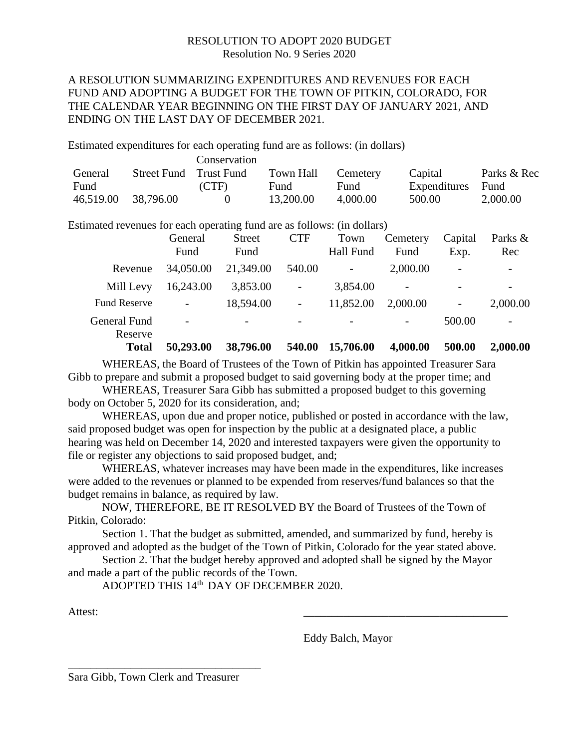# RESOLUTION TO ADOPT 2020 BUDGET Resolution No. 9 Series 2020

# A RESOLUTION SUMMARIZING EXPENDITURES AND REVENUES FOR EACH FUND AND ADOPTING A BUDGET FOR THE TOWN OF PITKIN, COLORADO, FOR THE CALENDAR YEAR BEGINNING ON THE FIRST DAY OF JANUARY 2021, AND ENDING ON THE LAST DAY OF DECEMBER 2021.

Estimated expenditures for each operating fund are as follows: (in dollars)

|           |                        | Conservation |           |          |              |             |
|-----------|------------------------|--------------|-----------|----------|--------------|-------------|
| General   | Street Fund Trust Fund |              | Town Hall | Cemetery | Capital      | Parks & Rec |
| Fund      |                        | (CTF)        | Fund      | Fund     | Expenditures | <b>Fund</b> |
| 46,519.00 | 38,796.00              |              | 13,200.00 | 4.000.00 | 500.00       | 2,000.00    |

Estimated revenues for each operating fund are as follows: (in dollars)

|                         | General<br>Fund          | <b>Street</b><br>Fund    | <b>CTF</b>               | Town<br><b>Hall Fund</b> | Cemetery<br>Fund | Capital<br>Exp.          | Parks &<br>Rec           |
|-------------------------|--------------------------|--------------------------|--------------------------|--------------------------|------------------|--------------------------|--------------------------|
| Revenue                 | 34,050.00                | 21,349.00                | 540.00                   | $\overline{\phantom{a}}$ | 2,000.00         | $\qquad \qquad$          |                          |
| Mill Levy               | 16,243.00                | 3,853.00                 | $\qquad \qquad$          | 3,854.00                 |                  | $\overline{\phantom{a}}$ |                          |
| <b>Fund Reserve</b>     | $\overline{\phantom{0}}$ | 18,594.00                | $\overline{\phantom{0}}$ | 11,852.00                | 2,000.00         | $\qquad \qquad -$        | 2,000.00                 |
| General Fund<br>Reserve | $\overline{\phantom{a}}$ | $\overline{\phantom{a}}$ | $\overline{\phantom{0}}$ |                          |                  | 500.00                   | $\overline{\phantom{a}}$ |
| <b>Total</b>            | 50,293.00                | 38,796.00                | 540.00                   | 15,706.00                | 4,000.00         | 500.00                   | 2,000.00                 |

WHEREAS, the Board of Trustees of the Town of Pitkin has appointed Treasurer Sara Gibb to prepare and submit a proposed budget to said governing body at the proper time; and

WHEREAS, Treasurer Sara Gibb has submitted a proposed budget to this governing body on October 5, 2020 for its consideration, and;

WHEREAS, upon due and proper notice, published or posted in accordance with the law, said proposed budget was open for inspection by the public at a designated place, a public hearing was held on December 14, 2020 and interested taxpayers were given the opportunity to file or register any objections to said proposed budget, and;

WHEREAS, whatever increases may have been made in the expenditures, like increases were added to the revenues or planned to be expended from reserves/fund balances so that the budget remains in balance, as required by law.

NOW, THEREFORE, BE IT RESOLVED BY the Board of Trustees of the Town of Pitkin, Colorado:

Section 1. That the budget as submitted, amended, and summarized by fund, hereby is approved and adopted as the budget of the Town of Pitkin, Colorado for the year stated above.

Section 2. That the budget hereby approved and adopted shall be signed by the Mayor and made a part of the public records of the Town.

ADOPTED THIS 14th DAY OF DECEMBER 2020.

Attest:

Eddy Balch, Mayor

\_\_\_\_\_\_\_\_\_\_\_\_\_\_\_\_\_\_\_\_\_\_\_\_\_\_\_\_\_\_\_\_\_\_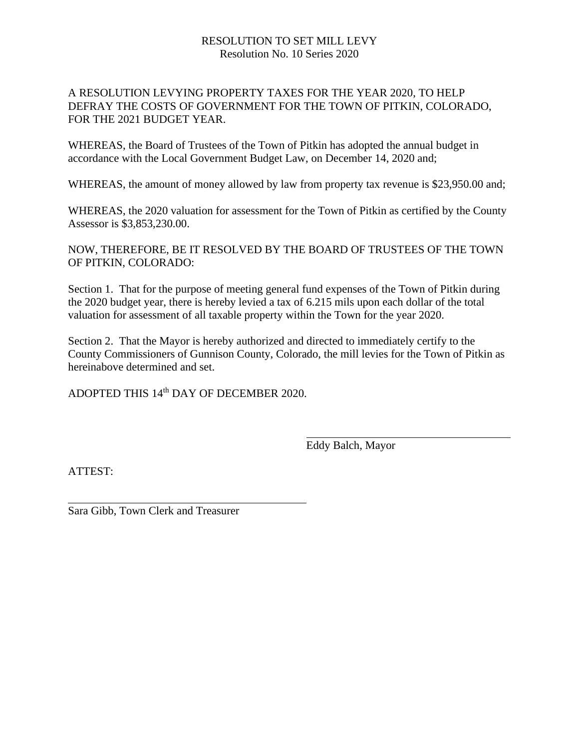#### RESOLUTION TO SET MILL LEVY Resolution No. 10 Series 2020

## A RESOLUTION LEVYING PROPERTY TAXES FOR THE YEAR 2020, TO HELP DEFRAY THE COSTS OF GOVERNMENT FOR THE TOWN OF PITKIN, COLORADO, FOR THE 2021 BUDGET YEAR.

WHEREAS, the Board of Trustees of the Town of Pitkin has adopted the annual budget in accordance with the Local Government Budget Law, on December 14, 2020 and;

WHEREAS, the amount of money allowed by law from property tax revenue is \$23,950.00 and;

WHEREAS, the 2020 valuation for assessment for the Town of Pitkin as certified by the County Assessor is \$3,853,230.00.

NOW, THEREFORE, BE IT RESOLVED BY THE BOARD OF TRUSTEES OF THE TOWN OF PITKIN, COLORADO:

Section 1. That for the purpose of meeting general fund expenses of the Town of Pitkin during the 2020 budget year, there is hereby levied a tax of 6.215 mils upon each dollar of the total valuation for assessment of all taxable property within the Town for the year 2020.

Section 2. That the Mayor is hereby authorized and directed to immediately certify to the County Commissioners of Gunnison County, Colorado, the mill levies for the Town of Pitkin as hereinabove determined and set.

ADOPTED THIS 14<sup>th</sup> DAY OF DECEMBER 2020.

Eddy Balch, Mayor

ATTEST:

Sara Gibb, Town Clerk and Treasurer